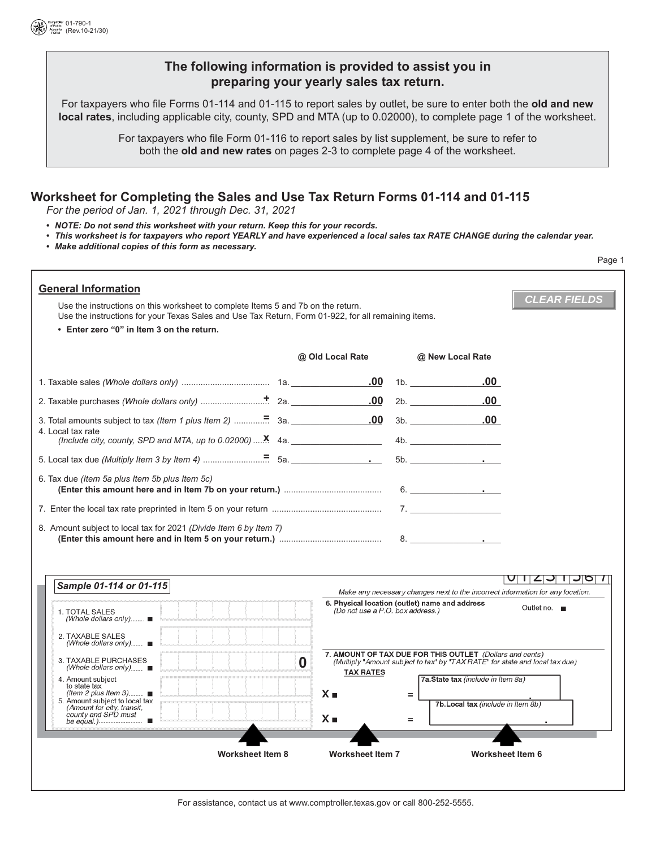

## **The following information is provided to assist you in preparing your yearly sales tax return.**

For taxpayers who file Forms 01-114 and 01-115 to report sales by outlet, be sure to enter both the **old and new local rates**, including applicable city, county, SPD and MTA (up to 0.02000), to complete page 1 of the worksheet.

> For taxpayers who file Form 01-116 to report sales by list supplement, be sure to refer to both the **old and new rates** on pages 2-3 to complete page 4 of the worksheet.

# **Worksheet for Completing the Sales and Use Tax Return Forms 01-114 and 01-115**

*For the period of Jan. 1, 2021 through Dec. 31, 2021*

- *NOTE: Do not send this worksheet with your return. Keep this for your records.*
- *This worksheet is for taxpayers who report YEARLY and have experienced a local sales tax RATE CHANGE during the calendar year.*
- *Make additional copies of this form as necessary.*

|                                                                                                                                                                                                                                                                    |                                  |                                                                                                                                          | Page 1                    |
|--------------------------------------------------------------------------------------------------------------------------------------------------------------------------------------------------------------------------------------------------------------------|----------------------------------|------------------------------------------------------------------------------------------------------------------------------------------|---------------------------|
| <b>General Information</b><br>Use the instructions on this worksheet to complete Items 5 and 7b on the return.<br>Use the instructions for your Texas Sales and Use Tax Return, Form 01-922, for all remaining items.<br>• Enter zero "0" in Item 3 on the return. |                                  |                                                                                                                                          | <b>CLEAR FIELDS</b>       |
|                                                                                                                                                                                                                                                                    | @ Old Local Rate                 | @ New Local Rate                                                                                                                         |                           |
|                                                                                                                                                                                                                                                                    | .00                              | $.00 \,$<br>1b.                                                                                                                          |                           |
|                                                                                                                                                                                                                                                                    | .00                              | $.00 \,$<br>2b.                                                                                                                          |                           |
| 4. Local tax rate<br>(Include city, county, SPD and MTA, up to $0.02000$ ) $\dots$ <b>X</b> 4a.                                                                                                                                                                    |                                  | $3b.$ 00                                                                                                                                 |                           |
|                                                                                                                                                                                                                                                                    |                                  | $5b.$ $\qquad \qquad \bullet$                                                                                                            |                           |
| 6. Tax due <i>(Item 5a plus Item 5b plus Item 5c)</i><br>8. Amount subject to local tax for 2021 (Divide Item 6 by Item 7)                                                                                                                                         |                                  | 6.                                                                                                                                       |                           |
| Sample 01-114 or 01-115                                                                                                                                                                                                                                            |                                  | Make any necessary changes next to the incorrect information for any location.                                                           | U 123 136 7               |
| 1. TOTAL SALES<br>(Whole dollars only) $\blacksquare$<br>2. TAXABLE SALES<br>(Whole dollars only) $\blacksquare$                                                                                                                                                   | (Do not use a P.O. box address.) | 6. Physical location (outlet) name and address                                                                                           | Outlet no. $\blacksquare$ |
| 3. TAXABLE PURCHASES<br>(Whole dollars only)                                                                                                                                                                                                                       | 0<br><b>TAX RATES</b>            | 7. AMOUNT OF TAX DUE FOR THIS OUTLET (Dollars and cents)<br>(Multiply "Amount subject to tax" by "TAX RATE" for state and local tax due) |                           |
| 4. Amount subject<br>to state tax<br>(Item 2 plus Item 3) $\blacksquare$<br>5. Amount subject to local tax<br>(Amount for city, transit,<br>county and SPD must<br>be equal.) ■                                                                                    | $X =$<br>$X_{\blacksquare}$      | 7a.State tax (include in Item 8a)<br>$=$<br>7b. Local tax (include in Item 8b)<br>$=$                                                    |                           |
|                                                                                                                                                                                                                                                                    |                                  |                                                                                                                                          |                           |
| Worksheet Item 8                                                                                                                                                                                                                                                   | <b>Worksheet Item 7</b>          |                                                                                                                                          | Worksheet Item 6          |
|                                                                                                                                                                                                                                                                    |                                  |                                                                                                                                          |                           |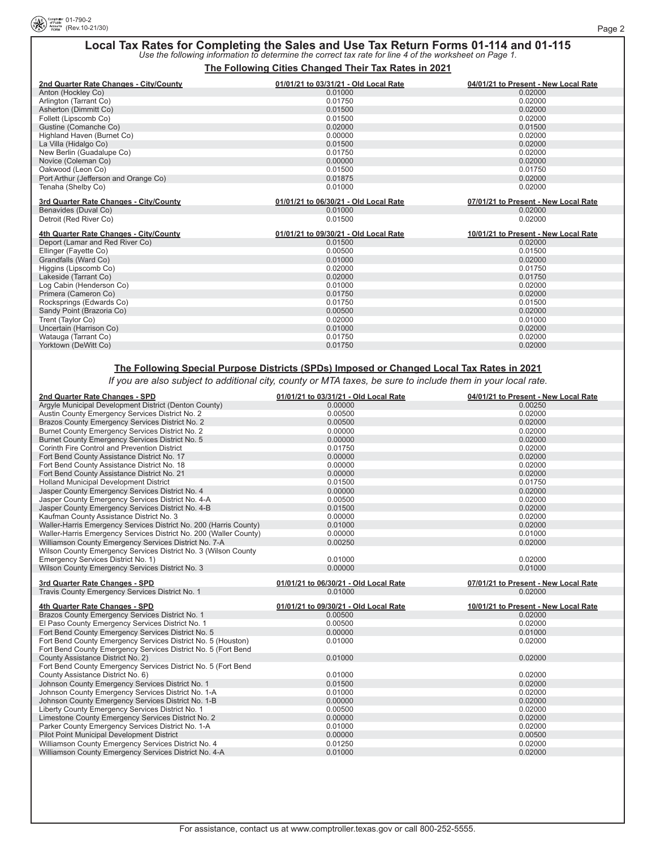

# **Local Tax Rates for Completing the Sales and Use Tax Return Forms 01-114 and 01-115** *Use the following information to determine the correct tax rate for line 4 of the worksheet on Page 1.*

**The Following Cities Changed Their Tax Rates in 2021**

| 2nd Quarter Rate Changes - City/County | 01/01/21 to 03/31/21 - Old Local Rate | 04/01/21 to Present - New Local Rate |
|----------------------------------------|---------------------------------------|--------------------------------------|
| Anton (Hockley Co)                     | 0.01000                               | 0.02000                              |
| Arlington (Tarrant Co)                 | 0.01750                               | 0.02000                              |
| Asherton (Dimmitt Co)                  | 0.01500                               | 0.02000                              |
| Follett (Lipscomb Co)                  | 0.01500                               | 0.02000                              |
| Gustine (Comanche Co)                  | 0.02000                               | 0.01500                              |
| Highland Haven (Burnet Co)             | 0.00000                               | 0.02000                              |
| La Villa (Hidalgo Co)                  | 0.01500                               | 0.02000                              |
| New Berlin (Guadalupe Co)              | 0.01750                               | 0.02000                              |
| Novice (Coleman Co)                    | 0.00000                               | 0.02000                              |
| Oakwood (Leon Co)                      | 0.01500                               | 0.01750                              |
| Port Arthur (Jefferson and Orange Co)  | 0.01875                               | 0.02000                              |
| Tenaha (Shelby Co)                     | 0.01000                               | 0.02000                              |
| 3rd Quarter Rate Changes - City/County | 01/01/21 to 06/30/21 - Old Local Rate | 07/01/21 to Present - New Local Rate |
| Benavides (Duval Co)                   | 0.01000                               | 0.02000                              |
| Detroit (Red River Co)                 | 0.01500                               | 0.02000                              |
| 4th Quarter Rate Changes - City/County | 01/01/21 to 09/30/21 - Old Local Rate | 10/01/21 to Present - New Local Rate |
| Deport (Lamar and Red River Co)        | 0.01500                               | 0.02000                              |
| Ellinger (Fayette Co)                  | 0.00500                               | 0.01500                              |
| Grandfalls (Ward Co)                   | 0.01000                               | 0.02000                              |
| Higgins (Lipscomb Co)                  | 0.02000                               | 0.01750                              |
| Lakeside (Tarrant Co)                  | 0.02000                               | 0.01750                              |
| Log Cabin (Henderson Co)               | 0.01000                               | 0.02000                              |
| Primera (Cameron Co)                   | 0.01750                               | 0.02000                              |
| Rocksprings (Edwards Co)               | 0.01750                               | 0.01500                              |
| Sandy Point (Brazoria Co)              | 0.00500                               | 0.02000                              |
| Trent (Taylor Co)                      | 0.02000                               | 0.01000                              |
| Uncertain (Harrison Co)                | 0.01000                               | 0.02000                              |
| Watauga (Tarrant Co)                   | 0.01750                               | 0.02000                              |
| Yorktown (DeWitt Co)                   | 0.01750                               | 0.02000                              |

### **The Following Special Purpose Districts (SPDs) Imposed or Changed Local Tax Rates in 2021**

*If you are also subject to additional city, county or MTA taxes, be sure to include them in your local rate.*

| 2nd Quarter Rate Changes - SPD                                                                               | 01/01/21 to 03/31/21 - Old Local Rate | 04/01/21 to Present - New Local Rate |
|--------------------------------------------------------------------------------------------------------------|---------------------------------------|--------------------------------------|
| Argyle Municipal Development District (Denton County)                                                        | 0.00000                               | 0.00250                              |
| Austin County Emergency Services District No. 2                                                              | 0.00500                               | 0.02000                              |
| Brazos County Emergency Services District No. 2                                                              | 0.00500                               | 0.02000                              |
| Burnet County Emergency Services District No. 2                                                              | 0.00000                               | 0.02000                              |
| Burnet County Emergency Services District No. 5                                                              | 0.00000                               | 0.02000                              |
| Corinth Fire Control and Prevention District                                                                 | 0.01750                               | 0.02000                              |
| Fort Bend County Assistance District No. 17                                                                  | 0.00000                               | 0.02000                              |
| Fort Bend County Assistance District No. 18                                                                  | 0.00000                               | 0.02000                              |
| Fort Bend County Assistance District No. 21                                                                  | 0.00000                               | 0.02000                              |
| <b>Holland Municipal Development District</b>                                                                | 0.01500                               | 0.01750                              |
| Jasper County Emergency Services District No. 4                                                              | 0.00000                               | 0.02000                              |
| Jasper County Emergency Services District No. 4-A                                                            | 0.00500                               | 0.02000                              |
| Jasper County Emergency Services District No. 4-B                                                            | 0.01500                               | 0.02000                              |
| Kaufman County Assistance District No. 3                                                                     | 0.00000                               | 0.02000                              |
| Waller-Harris Emergency Services District No. 200 (Harris County)                                            | 0.01000                               | 0.02000                              |
| Waller-Harris Emergency Services District No. 200 (Waller County)                                            | 0.00000                               | 0.01000                              |
| Williamson County Emergency Services District No. 7-A                                                        | 0.00250                               | 0.02000                              |
| Wilson County Emergency Services District No. 3 (Wilson County                                               |                                       |                                      |
| Emergency Services District No. 1)                                                                           | 0.01000                               | 0.02000                              |
| Wilson County Emergency Services District No. 3                                                              | 0.00000                               | 0.01000                              |
|                                                                                                              |                                       |                                      |
|                                                                                                              |                                       |                                      |
| 3rd Quarter Rate Changes - SPD                                                                               | 01/01/21 to 06/30/21 - Old Local Rate | 07/01/21 to Present - New Local Rate |
| Travis County Emergency Services District No. 1                                                              | 0.01000                               | 0.02000                              |
| 4th Quarter Rate Changes - SPD                                                                               | 01/01/21 to 09/30/21 - Old Local Rate | 10/01/21 to Present - New Local Rate |
| Brazos County Emergency Services District No. 1                                                              | 0.00500                               | 0.02000                              |
| El Paso County Emergency Services District No. 1                                                             | 0.00500                               | 0.02000                              |
| Fort Bend County Emergency Services District No. 5                                                           | 0.00000                               | 0.01000                              |
| Fort Bend County Emergency Services District No. 5 (Houston)                                                 | 0.01000                               | 0.02000                              |
| Fort Bend County Emergency Services District No. 5 (Fort Bend                                                |                                       |                                      |
| County Assistance District No. 2)                                                                            | 0.01000                               | 0.02000                              |
| Fort Bend County Emergency Services District No. 5 (Fort Bend                                                |                                       |                                      |
| County Assistance District No. 6)                                                                            | 0.01000                               | 0.02000                              |
| Johnson County Emergency Services District No. 1                                                             | 0.01500                               | 0.02000                              |
| Johnson County Emergency Services District No. 1-A                                                           | 0.01000                               | 0.02000                              |
| Johnson County Emergency Services District No. 1-B                                                           | 0.00000                               | 0.02000                              |
| Liberty County Emergency Services District No. 1                                                             | 0.00500                               | 0.02000                              |
| Limestone County Emergency Services District No. 2                                                           | 0.00000                               | 0.02000                              |
|                                                                                                              | 0.01000                               | 0.02000                              |
| Parker County Emergency Services District No. 1-A<br>Pilot Point Municipal Development District              | 0.00000                               | 0.00500                              |
|                                                                                                              | 0.01250                               | 0.02000                              |
| Williamson County Emergency Services District No. 4<br>Williamson County Emergency Services District No. 4-A | 0.01000                               | 0.02000                              |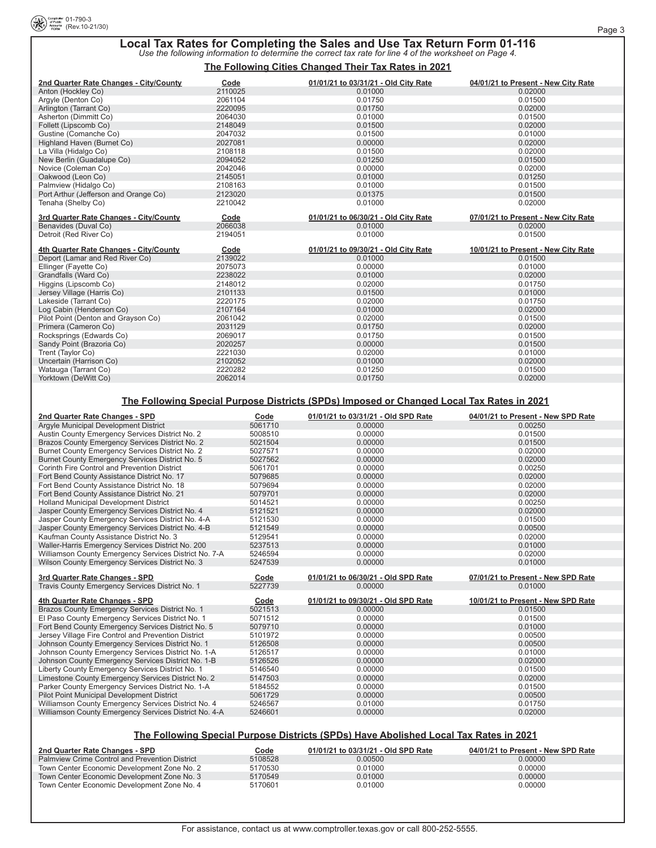# **Local Tax Rates for Completing the Sales and Use Tax Return Form 01-116** *Use the following information to determine the correct tax rate for line 4 of the worksheet on Page 4.*

#### **The Following Cities Changed Their Tax Rates in 2021**

| 2nd Quarter Rate Changes - City/County | Code    | 01/01/21 to 03/31/21 - Old City Rate | 04/01/21 to Present - New City Rate |
|----------------------------------------|---------|--------------------------------------|-------------------------------------|
| Anton (Hockley Co)                     | 2110025 | 0.01000                              | 0.02000                             |
| Argyle (Denton Co)                     | 2061104 | 0.01750                              | 0.01500                             |
| Arlington (Tarrant Co)                 | 2220095 | 0.01750                              | 0.02000                             |
| Asherton (Dimmitt Co)                  | 2064030 | 0.01000                              | 0.01500                             |
| Follett (Lipscomb Co)                  | 2148049 | 0.01500                              | 0.02000                             |
| Gustine (Comanche Co)                  | 2047032 | 0.01500                              | 0.01000                             |
| Highland Haven (Burnet Co)             | 2027081 | 0.00000                              | 0.02000                             |
| La Villa (Hidalgo Co)                  | 2108118 | 0.01500                              | 0.02000                             |
| New Berlin (Guadalupe Co)              | 2094052 | 0.01250                              | 0.01500                             |
| Novice (Coleman Co)                    | 2042046 | 0.00000                              | 0.02000                             |
| Oakwood (Leon Co)                      | 2145051 | 0.01000                              | 0.01250                             |
| Palmview (Hidalgo Co)                  | 2108163 | 0.01000                              | 0.01500                             |
| Port Arthur (Jefferson and Orange Co)  | 2123020 | 0.01375                              | 0.01500                             |
| Tenaha (Shelby Co)                     | 2210042 | 0.01000                              | 0.02000                             |
| 3rd Quarter Rate Changes - City/County | Code    | 01/01/21 to 06/30/21 - Old City Rate | 07/01/21 to Present - New City Rate |
| Benavides (Duval Co)                   | 2066038 | 0.01000                              | 0.02000                             |
| Detroit (Red River Co)                 | 2194051 | 0.01000                              | 0.01500                             |
| 4th Quarter Rate Changes - City/County | Code    | 01/01/21 to 09/30/21 - Old City Rate | 10/01/21 to Present - New City Rate |
| Deport (Lamar and Red River Co)        | 2139022 | 0.01000                              | 0.01500                             |
| Ellinger (Fayette Co)                  | 2075073 | 0.00000                              | 0.01000                             |
| Grandfalls (Ward Co)                   | 2238022 | 0.01000                              | 0.02000                             |
| Higgins (Lipscomb Co)                  | 2148012 | 0.02000                              | 0.01750                             |
| Jersey Village (Harris Co)             | 2101133 | 0.01500                              | 0.01000                             |
| Lakeside (Tarrant Co)                  | 2220175 | 0.02000                              | 0.01750                             |
| Log Cabin (Henderson Co)               | 2107164 | 0.01000                              | 0.02000                             |
| Pilot Point (Denton and Grayson Co)    | 2061042 | 0.02000                              | 0.01500                             |
| Primera (Cameron Co)                   | 2031129 | 0.01750                              | 0.02000                             |
| Rocksprings (Edwards Co)               | 2069017 | 0.01750                              | 0.01500                             |
| Sandy Point (Brazoria Co)              | 2020257 | 0.00000                              | 0.01500                             |
| Trent (Taylor Co)                      | 2221030 | 0.02000                              | 0.01000                             |
| Uncertain (Harrison Co)                | 2102052 | 0.01000                              | 0.02000                             |
| Watauga (Tarrant Co)                   | 2220282 | 0.01250                              | 0.01500                             |
| Yorktown (DeWitt Co)                   | 2062014 | 0.01750                              | 0.02000                             |

### **The Following Special Purpose Districts (SPDs) Imposed or Changed Local Tax Rates in 2021**

| 2nd Quarter Rate Changes - SPD                        | Code    | 01/01/21 to 03/31/21 - Old SPD Rate | 04/01/21 to Present - New SPD Rate |
|-------------------------------------------------------|---------|-------------------------------------|------------------------------------|
| Argyle Municipal Development District                 | 5061710 | 0.00000                             | 0.00250                            |
| Austin County Emergency Services District No. 2       | 5008510 | 0.00000                             | 0.01500                            |
| Brazos County Emergency Services District No. 2       | 5021504 | 0.00000                             | 0.01500                            |
| Burnet County Emergency Services District No. 2       | 5027571 | 0.00000                             | 0.02000                            |
| Burnet County Emergency Services District No. 5       | 5027562 | 0.00000                             | 0.02000                            |
| Corinth Fire Control and Prevention District          | 5061701 | 0.00000                             | 0.00250                            |
| Fort Bend County Assistance District No. 17           | 5079685 | 0.00000                             | 0.02000                            |
| Fort Bend County Assistance District No. 18           | 5079694 | 0.00000                             | 0.02000                            |
| Fort Bend County Assistance District No. 21           | 5079701 | 0.00000                             | 0.02000                            |
| <b>Holland Municipal Development District</b>         | 5014521 | 0.00000                             | 0.00250                            |
| Jasper County Emergency Services District No. 4       | 5121521 | 0.00000                             | 0.02000                            |
| Jasper County Emergency Services District No. 4-A     | 5121530 | 0.00000                             | 0.01500                            |
| Jasper County Emergency Services District No. 4-B     | 5121549 | 0.00000                             | 0.00500                            |
| Kaufman County Assistance District No. 3              | 5129541 | 0.00000                             | 0.02000                            |
| Waller-Harris Emergency Services District No. 200     | 5237513 | 0.00000                             | 0.01000                            |
| Williamson County Emergency Services District No. 7-A | 5246594 | 0.00000                             | 0.02000                            |
| Wilson County Emergency Services District No. 3       | 5247539 | 0.00000                             | 0.01000                            |
| 3rd Quarter Rate Changes - SPD                        | Code    | 01/01/21 to 06/30/21 - Old SPD Rate | 07/01/21 to Present - New SPD Rate |
| Travis County Emergency Services District No. 1       | 5227739 | 0.00000                             | 0.01000                            |
| 4th Quarter Rate Changes - SPD                        | Code    | 01/01/21 to 09/30/21 - Old SPD Rate | 10/01/21 to Present - New SPD Rate |
| Brazos County Emergency Services District No. 1       | 5021513 | 0.00000                             | 0.01500                            |
| El Paso County Emergency Services District No. 1      | 5071512 | 0.00000                             | 0.01500                            |
| Fort Bend County Emergency Services District No. 5    |         |                                     |                                    |
|                                                       | 5079710 | 0.00000                             | 0.01000                            |
| Jersey Village Fire Control and Prevention District   | 5101972 | 0.00000                             | 0.00500                            |
| Johnson County Emergency Services District No. 1      | 5126508 | 0.00000                             | 0.00500                            |
| Johnson County Emergency Services District No. 1-A    | 5126517 | 0.00000                             | 0.01000                            |
| Johnson County Emergency Services District No. 1-B    | 5126526 | 0.00000                             | 0.02000                            |
| Liberty County Emergency Services District No. 1      | 5146540 | 0.00000                             | 0.01500                            |
| Limestone County Emergency Services District No. 2    | 5147503 | 0.00000                             | 0.02000                            |
| Parker County Emergency Services District No. 1-A     | 5184552 | 0.00000                             | 0.01500                            |
| <b>Pilot Point Municipal Development District</b>     | 5061729 | 0.00000                             | 0.00500                            |
| Williamson County Emergency Services District No. 4   | 5246567 | 0.01000                             | 0.01750                            |

### **The Following Special Purpose Districts (SPDs) Have Abolished Local Tax Rates in 2021**

| 2nd Quarter Rate Changes - SPD                        | Code    | 01/01/21 to 03/31/21 - Old SPD Rate | 04/01/21 to Present - New SPD Rate |
|-------------------------------------------------------|---------|-------------------------------------|------------------------------------|
| <b>Palmview Crime Control and Prevention District</b> | 5108528 | 0.00500                             | 0.00000                            |
| Town Center Economic Development Zone No. 2           | 5170530 | 0.01000                             | 0.00000                            |
| Town Center Economic Development Zone No. 3           | 5170549 | 0.01000                             | 0.00000                            |
| Town Center Economic Development Zone No. 4           | 5170601 | 0.01000                             | 0.00000                            |